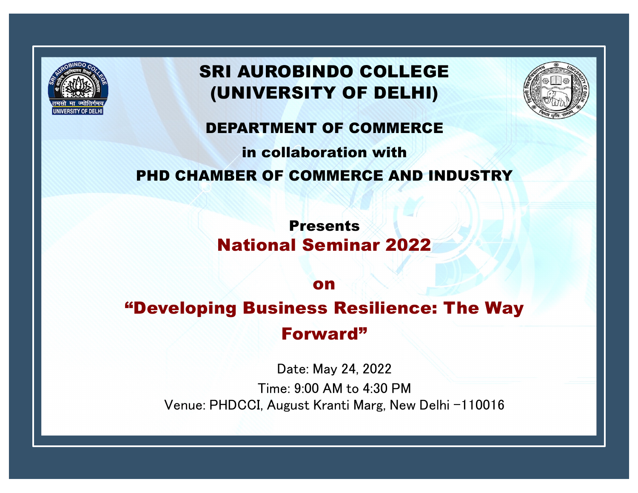

# SRI AUROBINDO COLLEGE (UNIVERSITY OF DELHI)



#### DEPARTMENT OF COMMERCE

# in collaboration with PHD CHAMBER OF COMMERCE AND INDUSTRY

Presents National Seminar 2022

on

# "Developing Business Resilience: The Way

Forward"

Date: May 24, 2022

Time: 9:00 AM to 4:30 PM Venue: PHDCCI, August Kranti Marg, New Delhi -110016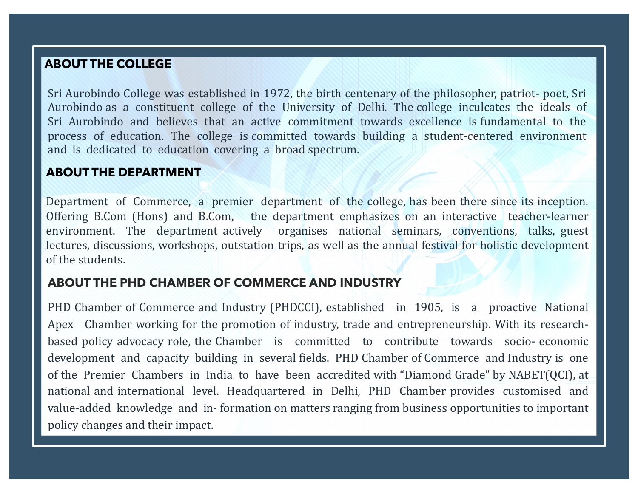#### **ABOUT THE COLLEGE**

Sri Aurobindo College was established in 1972, the birth centenary of the philosopher, patriot- poet, Sri Aurobindo as a constituent college of the University of Delhi. The college inculcates the ideals of Sri Aurobindo and believes that an active commitment towards excellence is fundamental to the process of education. The college is committed towards building a student-centered environment and is dedicated to education covering a broad spectrum.

#### **ABOUT THE DEPARTMENT**

Department of Commerce, a premier department of the college, has been there since its inception. Offering B.Com (Hons) and B.Com, the department emphasizes on an interactive teacher-learner environment. The department actively organises national seminars, conventions, talks, guest lectures, discussions, workshops, outstation trips, as well as the annual festival for holistic development of the students.

#### **ABOUT THE PHD CHAMBER OF COMMERCE AND INDUSTRY**

PHD Chamber of Commerce and Industry (PHDCCI), established in 1905, is a proactive National Apex Chamber working for the promotion of industry, trade and entrepreneurship. With its researchbased policy advocacy role, the Chamber is committed to contribute towards socio- economic development and capacity building in several fields. PHD Chamber of Commerce and Industry is one of the Premier Chambers in India to have been accredited with "Diamond Grade" by NABET(QCI), at national and international level. Headquartered in Delhi, PHD Chamber provides customised and value-added knowledge and in- formation on matters ranging from business opportunities to important policy changes and their impact.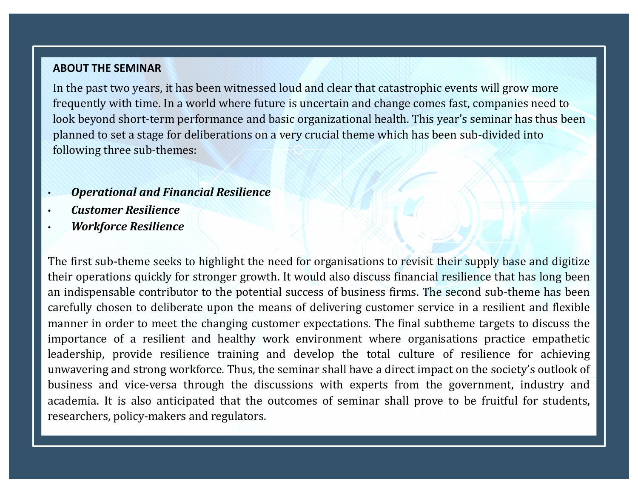#### **ABOUT THE SEMINAR**

In the past two years, it has been witnessed loud and clear that catastrophic events will grow more frequently with time. In a world where future is uncertain and change comes fast, companies need to look beyond short-term performance and basic organizational health. This year's seminar has thus been planned to set a stage for deliberations on a very crucial theme which has been sub-divided into following three sub-themes:

- *Operational and Financial Resilience*
- *Customer Resilience*
- *Workforce Resilience*

The first sub-theme seeks to highlight the need for organisations to revisit their supply base and digitize their operations quickly for stronger growth. It would also discuss financial resilience that has long been an indispensable contributor to the potential success of business firms. The second sub-theme has been carefully chosen to deliberate upon the means of delivering customer service in a resilient and flexible manner in order to meet the changing customer expectations. The final subtheme targets to discuss the importance of a resilient and healthy work environment where organisations practice empathetic leadership, provide resilience training and develop the total culture of resilience for achieving unwavering and strong workforce. Thus, the seminar shall have a direct impact on the society's outlook of business and vice-versa through the discussions with experts from the government, industry and academia. It is also anticipated that the outcomes of seminar shall prove to be fruitful for students, researchers, policy-makers and regulators.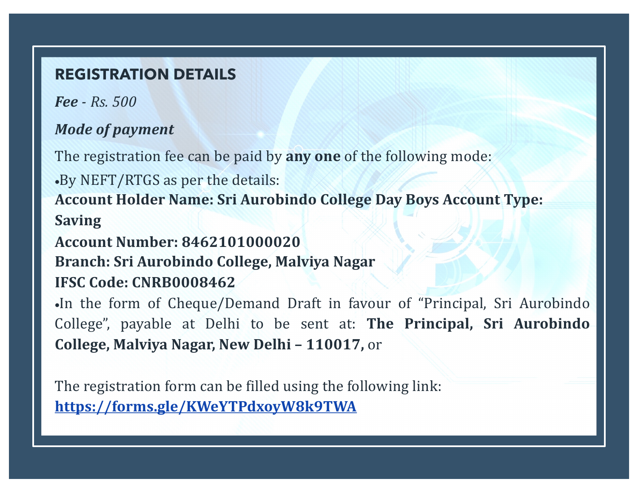### **REGISTRATION DETAILS**

*Fee - Rs. 500*

## *Mode of payment*

The registration fee can be paid by any one of the following mode:

•By NEFT/RTGS as per the details:

**Account Holder Name: Sri Aurobindo College Day Boys Account Type: Saving**

**Account Number: 8462101000020**

**Branch: Sri Aurobindo College, Malviya Nagar** 

## **IFSC Code: CNRB0008462**

•In the form of Cheque/Demand Draft in favour of "Principal, Sri Aurobindo College", payable at Delhi to be sent at: **The Principal, Sri Aurobindo College, Malviya Nagar, New Delhi – 110017,** or

The registration form can be filled using the following link: **https://forms.gle/KWeYTPdxoyW8k9TWA**